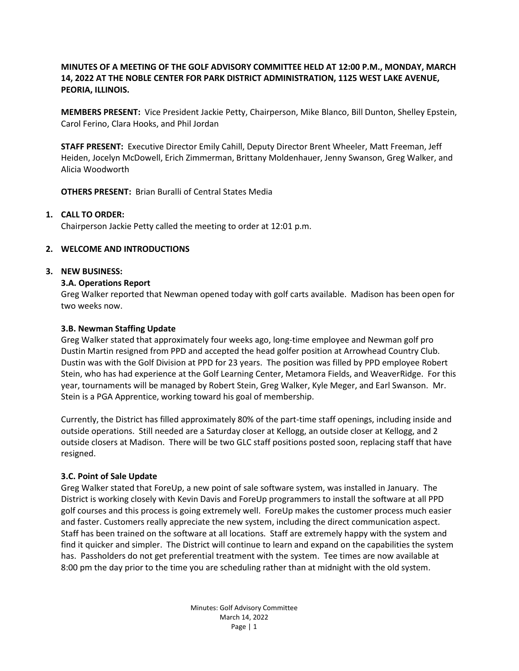# **MINUTES OF A MEETING OF THE GOLF ADVISORY COMMITTEE HELD AT 12:00 P.M., MONDAY, MARCH 14, 2022 AT THE NOBLE CENTER FOR PARK DISTRICT ADMINISTRATION, 1125 WEST LAKE AVENUE, PEORIA, ILLINOIS.**

**MEMBERS PRESENT:** Vice President Jackie Petty, Chairperson, Mike Blanco, Bill Dunton, Shelley Epstein, Carol Ferino, Clara Hooks, and Phil Jordan

**STAFF PRESENT:** Executive Director Emily Cahill, Deputy Director Brent Wheeler, Matt Freeman, Jeff Heiden, Jocelyn McDowell, Erich Zimmerman, Brittany Moldenhauer, Jenny Swanson, Greg Walker, and Alicia Woodworth

**OTHERS PRESENT:** Brian Buralli of Central States Media

### **1. CALL TO ORDER:**

Chairperson Jackie Petty called the meeting to order at 12:01 p.m.

### **2. WELCOME AND INTRODUCTIONS**

#### **3. NEW BUSINESS:**

#### **3.A. Operations Report**

Greg Walker reported that Newman opened today with golf carts available. Madison has been open for two weeks now.

#### **3.B. Newman Staffing Update**

Greg Walker stated that approximately four weeks ago, long-time employee and Newman golf pro Dustin Martin resigned from PPD and accepted the head golfer position at Arrowhead Country Club. Dustin was with the Golf Division at PPD for 23 years. The position was filled by PPD employee Robert Stein, who has had experience at the Golf Learning Center, Metamora Fields, and WeaverRidge. For this year, tournaments will be managed by Robert Stein, Greg Walker, Kyle Meger, and Earl Swanson. Mr. Stein is a PGA Apprentice, working toward his goal of membership.

Currently, the District has filled approximately 80% of the part-time staff openings, including inside and outside operations. Still needed are a Saturday closer at Kellogg, an outside closer at Kellogg, and 2 outside closers at Madison. There will be two GLC staff positions posted soon, replacing staff that have resigned.

#### **3.C. Point of Sale Update**

Greg Walker stated that ForeUp, a new point of sale software system, was installed in January. The District is working closely with Kevin Davis and ForeUp programmers to install the software at all PPD golf courses and this process is going extremely well. ForeUp makes the customer process much easier and faster. Customers really appreciate the new system, including the direct communication aspect. Staff has been trained on the software at all locations. Staff are extremely happy with the system and find it quicker and simpler. The District will continue to learn and expand on the capabilities the system has. Passholders do not get preferential treatment with the system. Tee times are now available at 8:00 pm the day prior to the time you are scheduling rather than at midnight with the old system.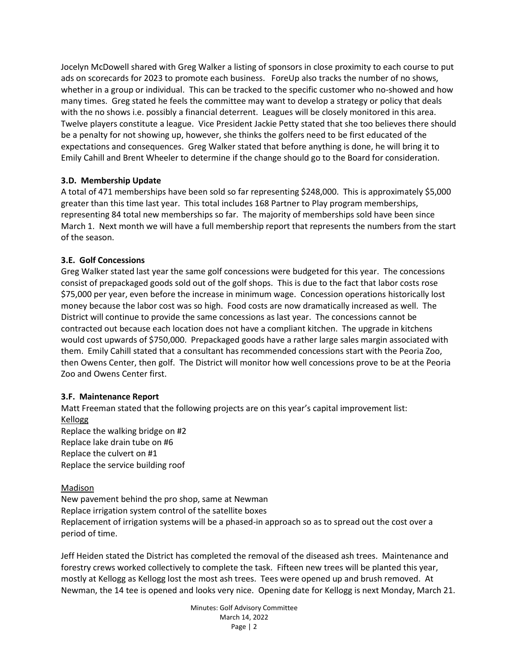Jocelyn McDowell shared with Greg Walker a listing of sponsors in close proximity to each course to put ads on scorecards for 2023 to promote each business. ForeUp also tracks the number of no shows, whether in a group or individual. This can be tracked to the specific customer who no-showed and how many times. Greg stated he feels the committee may want to develop a strategy or policy that deals with the no shows i.e. possibly a financial deterrent. Leagues will be closely monitored in this area. Twelve players constitute a league. Vice President Jackie Petty stated that she too believes there should be a penalty for not showing up, however, she thinks the golfers need to be first educated of the expectations and consequences. Greg Walker stated that before anything is done, he will bring it to Emily Cahill and Brent Wheeler to determine if the change should go to the Board for consideration.

## **3.D. Membership Update**

A total of 471 memberships have been sold so far representing \$248,000. This is approximately \$5,000 greater than this time last year. This total includes 168 Partner to Play program memberships, representing 84 total new memberships so far. The majority of memberships sold have been since March 1. Next month we will have a full membership report that represents the numbers from the start of the season.

## **3.E. Golf Concessions**

Greg Walker stated last year the same golf concessions were budgeted for this year. The concessions consist of prepackaged goods sold out of the golf shops. This is due to the fact that labor costs rose \$75,000 per year, even before the increase in minimum wage. Concession operations historically lost money because the labor cost was so high. Food costs are now dramatically increased as well. The District will continue to provide the same concessions as last year. The concessions cannot be contracted out because each location does not have a compliant kitchen. The upgrade in kitchens would cost upwards of \$750,000. Prepackaged goods have a rather large sales margin associated with them. Emily Cahill stated that a consultant has recommended concessions start with the Peoria Zoo, then Owens Center, then golf. The District will monitor how well concessions prove to be at the Peoria Zoo and Owens Center first.

### **3.F. Maintenance Report**

Matt Freeman stated that the following projects are on this year's capital improvement list: Kellogg Replace the walking bridge on #2 Replace lake drain tube on #6 Replace the culvert on #1 Replace the service building roof

### Madison

New pavement behind the pro shop, same at Newman Replace irrigation system control of the satellite boxes Replacement of irrigation systems will be a phased-in approach so as to spread out the cost over a period of time.

Jeff Heiden stated the District has completed the removal of the diseased ash trees. Maintenance and forestry crews worked collectively to complete the task. Fifteen new trees will be planted this year, mostly at Kellogg as Kellogg lost the most ash trees. Tees were opened up and brush removed. At Newman, the 14 tee is opened and looks very nice. Opening date for Kellogg is next Monday, March 21.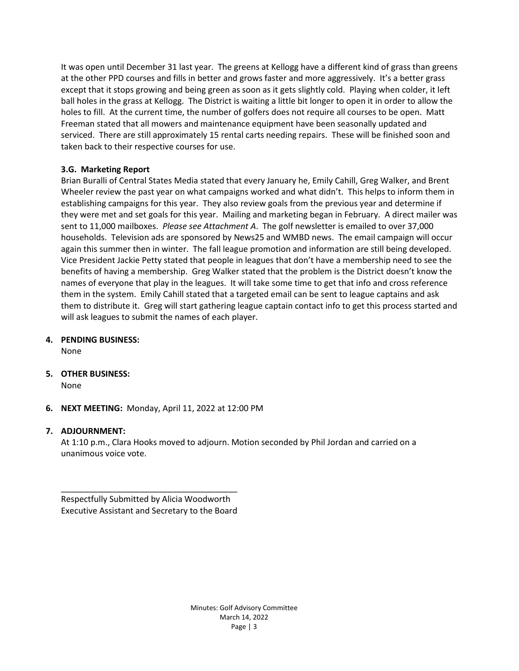It was open until December 31 last year. The greens at Kellogg have a different kind of grass than greens at the other PPD courses and fills in better and grows faster and more aggressively. It's a better grass except that it stops growing and being green as soon as it gets slightly cold. Playing when colder, it left ball holes in the grass at Kellogg. The District is waiting a little bit longer to open it in order to allow the holes to fill. At the current time, the number of golfers does not require all courses to be open. Matt Freeman stated that all mowers and maintenance equipment have been seasonally updated and serviced. There are still approximately 15 rental carts needing repairs. These will be finished soon and taken back to their respective courses for use.

## **3.G. Marketing Report**

Brian Buralli of Central States Media stated that every January he, Emily Cahill, Greg Walker, and Brent Wheeler review the past year on what campaigns worked and what didn't. This helps to inform them in establishing campaigns for this year. They also review goals from the previous year and determine if they were met and set goals for this year. Mailing and marketing began in February. A direct mailer was sent to 11,000 mailboxes. *Please see Attachment A*. The golf newsletter is emailed to over 37,000 households. Television ads are sponsored by News25 and WMBD news. The email campaign will occur again this summer then in winter. The fall league promotion and information are still being developed. Vice President Jackie Petty stated that people in leagues that don't have a membership need to see the benefits of having a membership. Greg Walker stated that the problem is the District doesn't know the names of everyone that play in the leagues. It will take some time to get that info and cross reference them in the system. Emily Cahill stated that a targeted email can be sent to league captains and ask them to distribute it. Greg will start gathering league captain contact info to get this process started and will ask leagues to submit the names of each player.

**4. PENDING BUSINESS:** 

None

**5. OTHER BUSINESS:**

None

**6. NEXT MEETING:** Monday, April 11, 2022 at 12:00 PM

# **7. ADJOURNMENT:**

At 1:10 p.m., Clara Hooks moved to adjourn. Motion seconded by Phil Jordan and carried on a unanimous voice vote.

\_\_\_\_\_\_\_\_\_\_\_\_\_\_\_\_\_\_\_\_\_\_\_\_\_\_\_\_\_\_\_\_\_\_\_\_\_\_ Respectfully Submitted by Alicia Woodworth Executive Assistant and Secretary to the Board

> Minutes: Golf Advisory Committee March 14, 2022 Page | 3